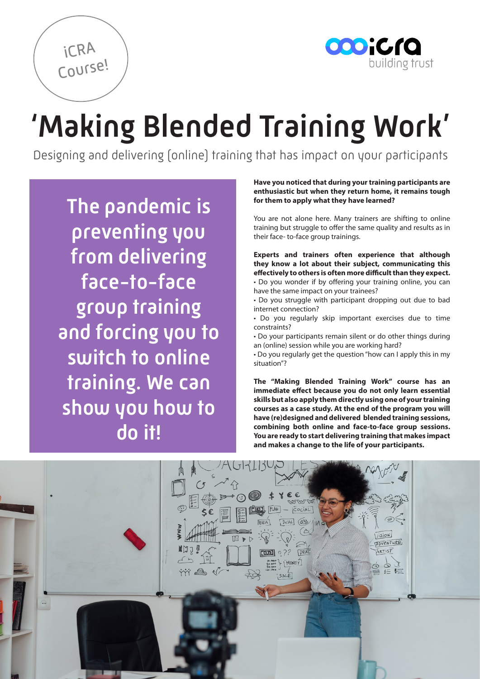

# 'Making Blended Training Work'

Designing and delivering (online) training that has impact on your participants

The pandemic is preventing you from delivering face-to-face group training and forcing you to switch to online training. We can show you how to do it!

iCRA

Course!

**Have you noticed that during your training participants are enthusiastic but when they return home, it remains tough for them to apply what they have learned?** 

You are not alone here. Many trainers are shifting to online training but struggle to offer the same quality and results as in their face- to-face group trainings.

**Experts and trainers often experience that although they know a lot about their subject, communicating this effectively to others is often more difficult than they expect.** • Do you wonder if by offering your training online, you can have the same impact on your trainees?

• Do you struggle with participant dropping out due to bad internet connection?

• Do you regularly skip important exercises due to time constraints?

• Do your participants remain silent or do other things during an (online) session while you are working hard?

• Do you regularly get the question "how can I apply this in my situation"?

**The "Making Blended Training Work" course has an immediate effect because you do not only learn essential skills but also apply them directly using one of your training courses as a case study. At the end of the program you will have (re)designed and delivered blended training sessions, combining both online and face-to-face group sessions. You are ready to start delivering training that makes impact and makes a change to the life of your participants.**